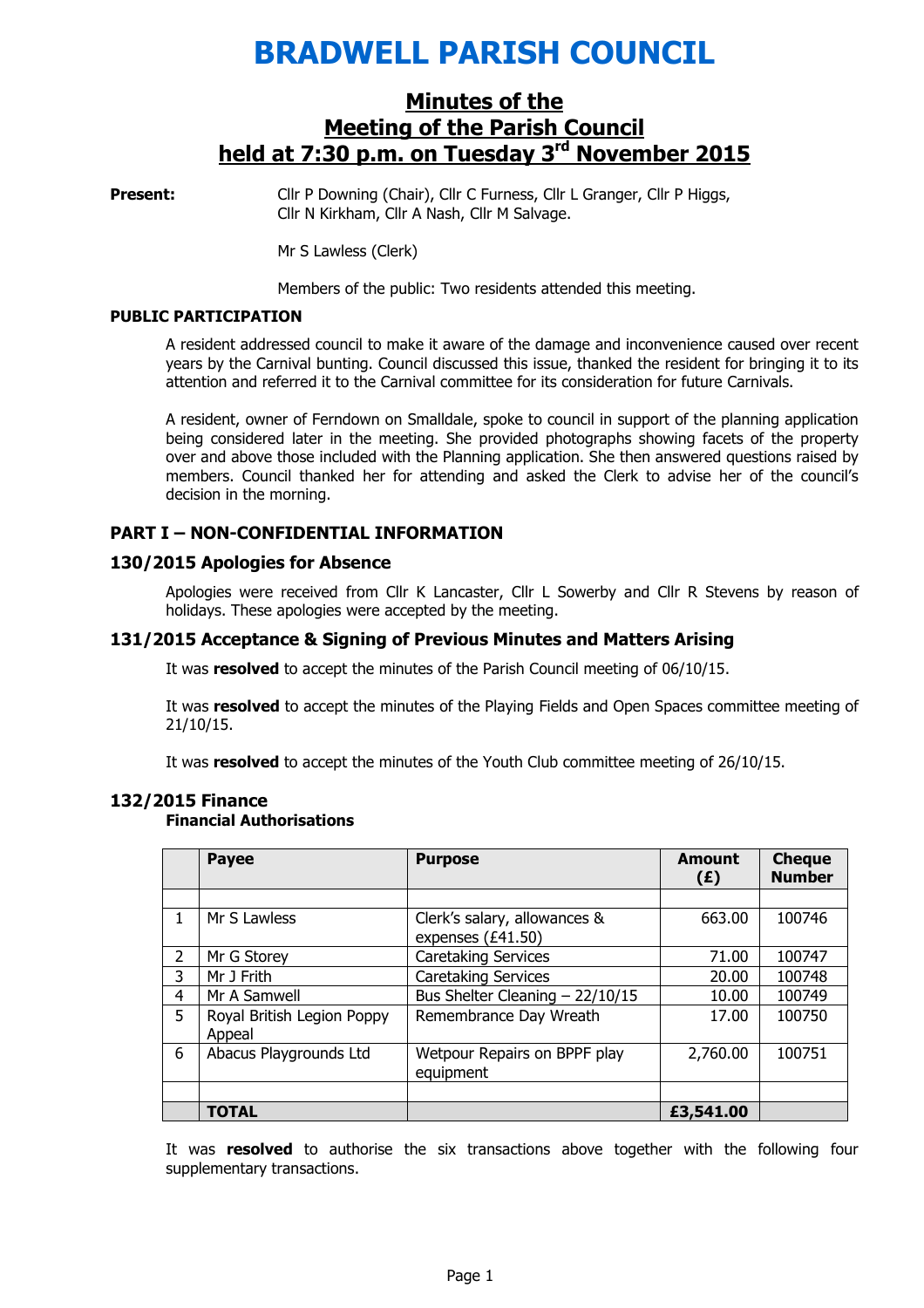# BRADWELL PARISH COUNCIL

## Minutes of the Meeting of the Parish Council held at 7:30 p.m. on Tuesday 3<sup>rd</sup> November 2015

**Present:** Cllr P Downing (Chair), Cllr C Furness, Cllr L Granger, Cllr P Higgs, Cllr N Kirkham, Cllr A Nash, Cllr M Salvage.

Mr S Lawless (Clerk)

Members of the public: Two residents attended this meeting.

#### PUBLIC PARTICIPATION

A resident addressed council to make it aware of the damage and inconvenience caused over recent years by the Carnival bunting. Council discussed this issue, thanked the resident for bringing it to its attention and referred it to the Carnival committee for its consideration for future Carnivals.

A resident, owner of Ferndown on Smalldale, spoke to council in support of the planning application being considered later in the meeting. She provided photographs showing facets of the property over and above those included with the Planning application. She then answered questions raised by members. Council thanked her for attending and asked the Clerk to advise her of the council's decision in the morning.

## PART I – NON-CONFIDENTIAL INFORMATION

#### 130/2015 Apologies for Absence

 Apologies were received from Cllr K Lancaster, Cllr L Sowerby and Cllr R Stevens by reason of holidays. These apologies were accepted by the meeting.

#### 131/2015 Acceptance & Signing of Previous Minutes and Matters Arising

It was resolved to accept the minutes of the Parish Council meeting of 06/10/15.

It was resolved to accept the minutes of the Playing Fields and Open Spaces committee meeting of 21/10/15.

It was resolved to accept the minutes of the Youth Club committee meeting of 26/10/15.

|                | <b>Payee</b>                         | <b>Purpose</b>                                    | <b>Amount</b><br>(E) | <b>Cheque</b><br><b>Number</b> |
|----------------|--------------------------------------|---------------------------------------------------|----------------------|--------------------------------|
|                |                                      |                                                   |                      |                                |
| 1              | Mr S Lawless                         | Clerk's salary, allowances &<br>expenses (£41.50) | 663.00               | 100746                         |
| $\overline{2}$ | Mr G Storey                          | <b>Caretaking Services</b>                        | 71.00                | 100747                         |
| 3              | Mr J Frith                           | <b>Caretaking Services</b>                        | 20.00                | 100748                         |
| 4              | Mr A Samwell                         | Bus Shelter Cleaning $-22/10/15$                  | 10.00                | 100749                         |
| 5              | Royal British Legion Poppy<br>Appeal | Remembrance Day Wreath                            | 17.00                | 100750                         |
| 6              | Abacus Playgrounds Ltd               | Wetpour Repairs on BPPF play<br>equipment         | 2,760.00             | 100751                         |
|                |                                      |                                                   |                      |                                |
|                | <b>TOTAL</b>                         |                                                   | £3,541.00            |                                |

#### 132/2015 Finance Financial Authorisations

It was resolved to authorise the six transactions above together with the following four supplementary transactions.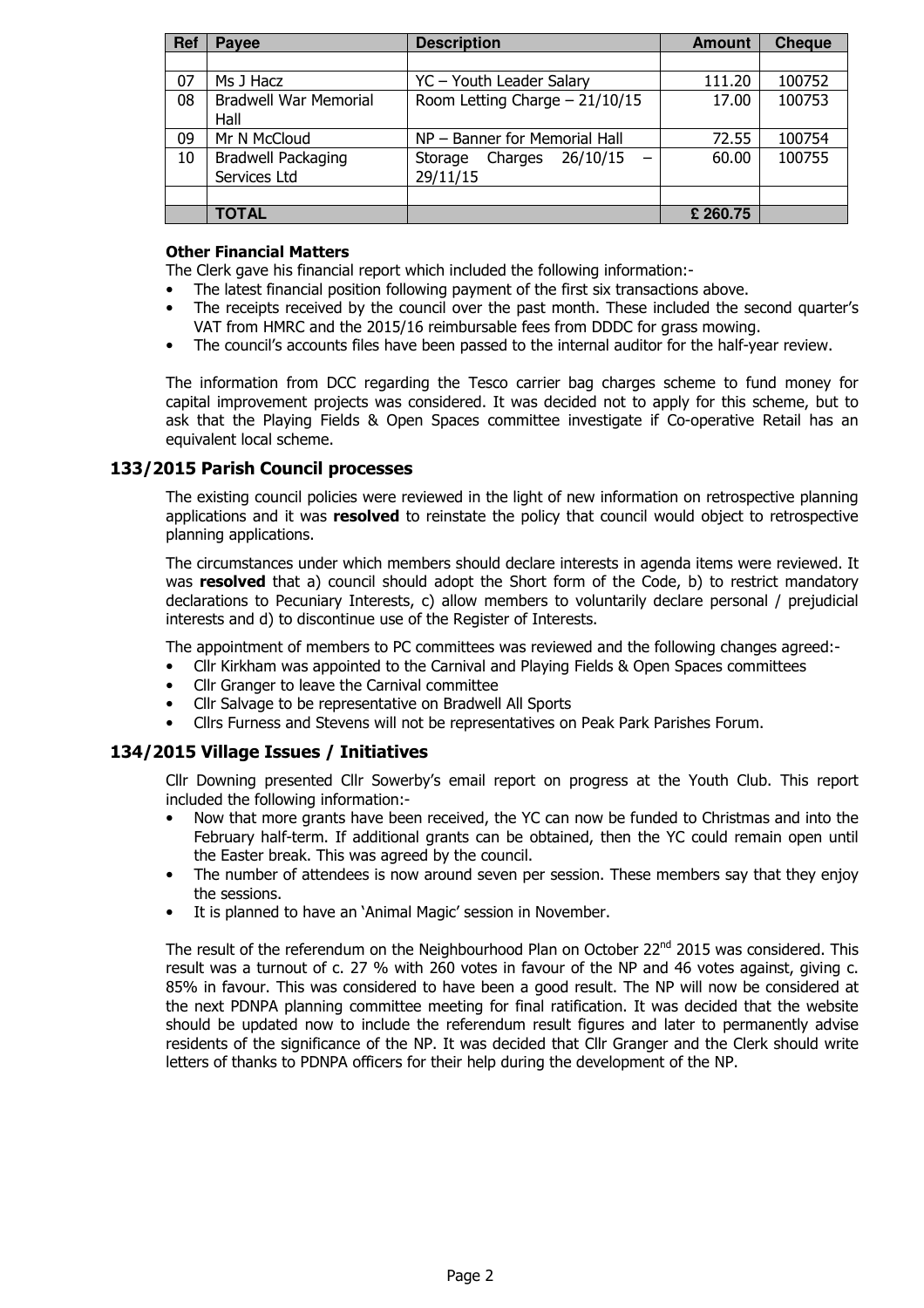| Ref | Payee                                     | <b>Description</b>                         | <b>Amount</b> | <b>Cheque</b> |
|-----|-------------------------------------------|--------------------------------------------|---------------|---------------|
|     |                                           |                                            |               |               |
| 07  | Ms J Hacz                                 | YC - Youth Leader Salary                   | 111.20        | 100752        |
| 08  | <b>Bradwell War Memorial</b><br>Hall      | Room Letting Charge $-21/10/15$            | 17.00         | 100753        |
| 09  | Mr N McCloud                              | NP - Banner for Memorial Hall              | 72.55         | 100754        |
| 10  | <b>Bradwell Packaging</b><br>Services Ltd | 26/10/15<br>Charges<br>Storage<br>29/11/15 | 60.00         | 100755        |
|     |                                           |                                            |               |               |
|     | <b>TOTAL</b>                              |                                            | £260.75       |               |

#### Other Financial Matters

The Clerk gave his financial report which included the following information:-

- The latest financial position following payment of the first six transactions above.
- The receipts received by the council over the past month. These included the second quarter's VAT from HMRC and the 2015/16 reimbursable fees from DDDC for grass mowing.
- The council's accounts files have been passed to the internal auditor for the half-year review.

The information from DCC regarding the Tesco carrier bag charges scheme to fund money for capital improvement projects was considered. It was decided not to apply for this scheme, but to ask that the Playing Fields & Open Spaces committee investigate if Co-operative Retail has an equivalent local scheme.

## 133/2015 Parish Council processes

The existing council policies were reviewed in the light of new information on retrospective planning applications and it was resolved to reinstate the policy that council would object to retrospective planning applications.

The circumstances under which members should declare interests in agenda items were reviewed. It was resolved that a) council should adopt the Short form of the Code, b) to restrict mandatory declarations to Pecuniary Interests, c) allow members to voluntarily declare personal / prejudicial interests and d) to discontinue use of the Register of Interests.

The appointment of members to PC committees was reviewed and the following changes agreed:-

- Cllr Kirkham was appointed to the Carnival and Playing Fields & Open Spaces committees
- Cllr Granger to leave the Carnival committee
- Cllr Salvage to be representative on Bradwell All Sports
- Cllrs Furness and Stevens will not be representatives on Peak Park Parishes Forum.

## 134/2015 Village Issues / Initiatives

Cllr Downing presented Cllr Sowerby's email report on progress at the Youth Club. This report included the following information:-

- Now that more grants have been received, the YC can now be funded to Christmas and into the February half-term. If additional grants can be obtained, then the YC could remain open until the Easter break. This was agreed by the council.
- The number of attendees is now around seven per session. These members say that they enjoy the sessions.
- It is planned to have an 'Animal Magic' session in November.

The result of the referendum on the Neighbourhood Plan on October 22<sup>nd</sup> 2015 was considered. This result was a turnout of c. 27 % with 260 votes in favour of the NP and 46 votes against, giving c. 85% in favour. This was considered to have been a good result. The NP will now be considered at the next PDNPA planning committee meeting for final ratification. It was decided that the website should be updated now to include the referendum result figures and later to permanently advise residents of the significance of the NP. It was decided that Cllr Granger and the Clerk should write letters of thanks to PDNPA officers for their help during the development of the NP.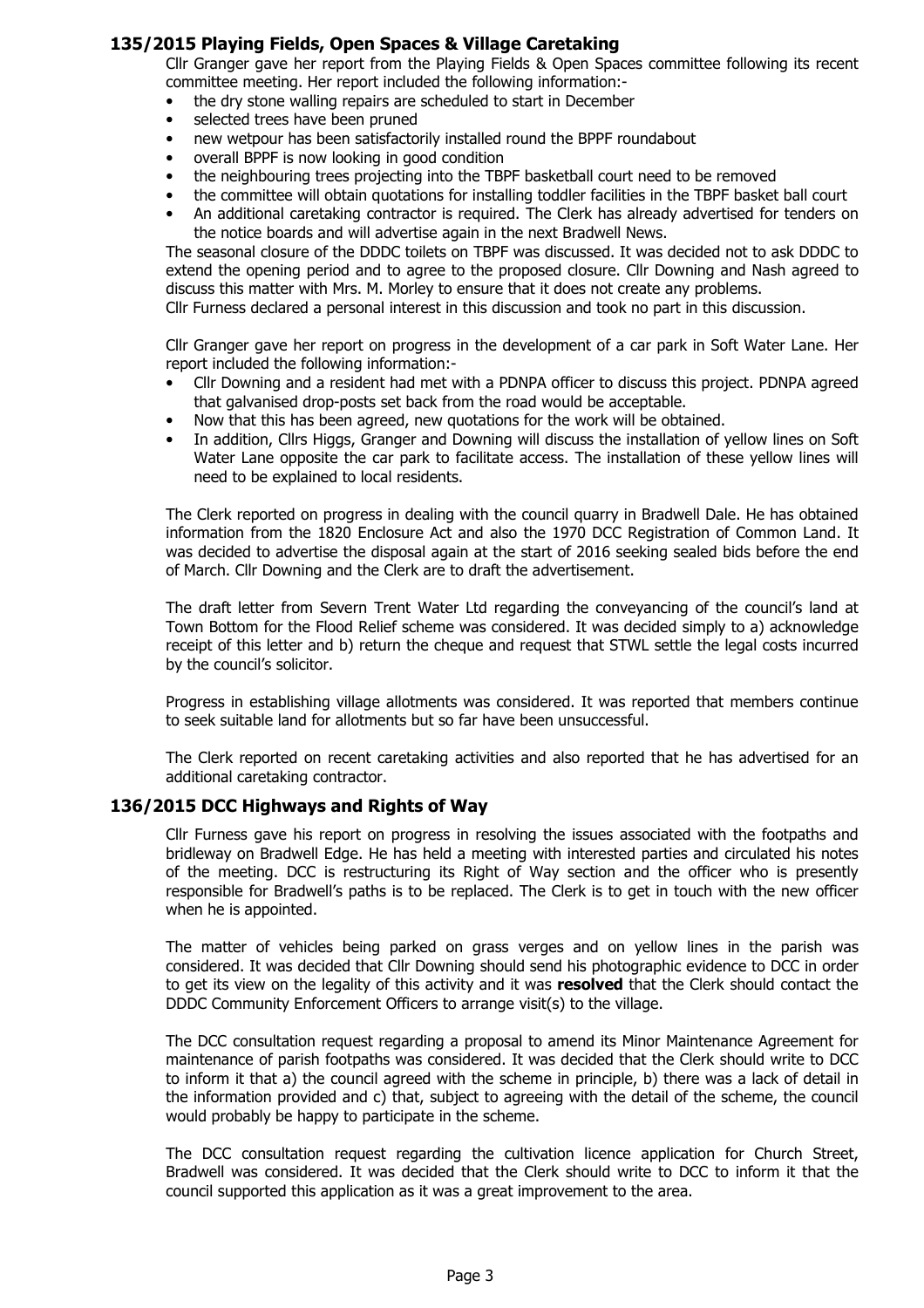#### 135/2015 Playing Fields, Open Spaces & Village Caretaking

Cllr Granger gave her report from the Playing Fields & Open Spaces committee following its recent committee meeting. Her report included the following information:-

- the dry stone walling repairs are scheduled to start in December
- selected trees have been pruned
- new wetpour has been satisfactorily installed round the BPPF roundabout
- overall BPPF is now looking in good condition
- the neighbouring trees projecting into the TBPF basketball court need to be removed
- the committee will obtain quotations for installing toddler facilities in the TBPF basket ball court
- An additional caretaking contractor is required. The Clerk has already advertised for tenders on the notice boards and will advertise again in the next Bradwell News.

The seasonal closure of the DDDC toilets on TBPF was discussed. It was decided not to ask DDDC to extend the opening period and to agree to the proposed closure. Cllr Downing and Nash agreed to discuss this matter with Mrs. M. Morley to ensure that it does not create any problems.

Cllr Furness declared a personal interest in this discussion and took no part in this discussion.

Cllr Granger gave her report on progress in the development of a car park in Soft Water Lane. Her report included the following information:-

- Cllr Downing and a resident had met with a PDNPA officer to discuss this project. PDNPA agreed that galvanised drop-posts set back from the road would be acceptable.
- Now that this has been agreed, new quotations for the work will be obtained.
- In addition, Cllrs Higgs, Granger and Downing will discuss the installation of yellow lines on Soft Water Lane opposite the car park to facilitate access. The installation of these yellow lines will need to be explained to local residents.

The Clerk reported on progress in dealing with the council quarry in Bradwell Dale. He has obtained information from the 1820 Enclosure Act and also the 1970 DCC Registration of Common Land. It was decided to advertise the disposal again at the start of 2016 seeking sealed bids before the end of March. Cllr Downing and the Clerk are to draft the advertisement.

The draft letter from Severn Trent Water Ltd regarding the conveyancing of the council's land at Town Bottom for the Flood Relief scheme was considered. It was decided simply to a) acknowledge receipt of this letter and b) return the cheque and request that STWL settle the legal costs incurred by the council's solicitor.

Progress in establishing village allotments was considered. It was reported that members continue to seek suitable land for allotments but so far have been unsuccessful.

The Clerk reported on recent caretaking activities and also reported that he has advertised for an additional caretaking contractor.

#### 136/2015 DCC Highways and Rights of Way

Cllr Furness gave his report on progress in resolving the issues associated with the footpaths and bridleway on Bradwell Edge. He has held a meeting with interested parties and circulated his notes of the meeting. DCC is restructuring its Right of Way section and the officer who is presently responsible for Bradwell's paths is to be replaced. The Clerk is to get in touch with the new officer when he is appointed.

The matter of vehicles being parked on grass verges and on yellow lines in the parish was considered. It was decided that Cllr Downing should send his photographic evidence to DCC in order to get its view on the legality of this activity and it was resolved that the Clerk should contact the DDDC Community Enforcement Officers to arrange visit(s) to the village.

The DCC consultation request regarding a proposal to amend its Minor Maintenance Agreement for maintenance of parish footpaths was considered. It was decided that the Clerk should write to DCC to inform it that a) the council agreed with the scheme in principle, b) there was a lack of detail in the information provided and c) that, subject to agreeing with the detail of the scheme, the council would probably be happy to participate in the scheme.

The DCC consultation request regarding the cultivation licence application for Church Street, Bradwell was considered. It was decided that the Clerk should write to DCC to inform it that the council supported this application as it was a great improvement to the area.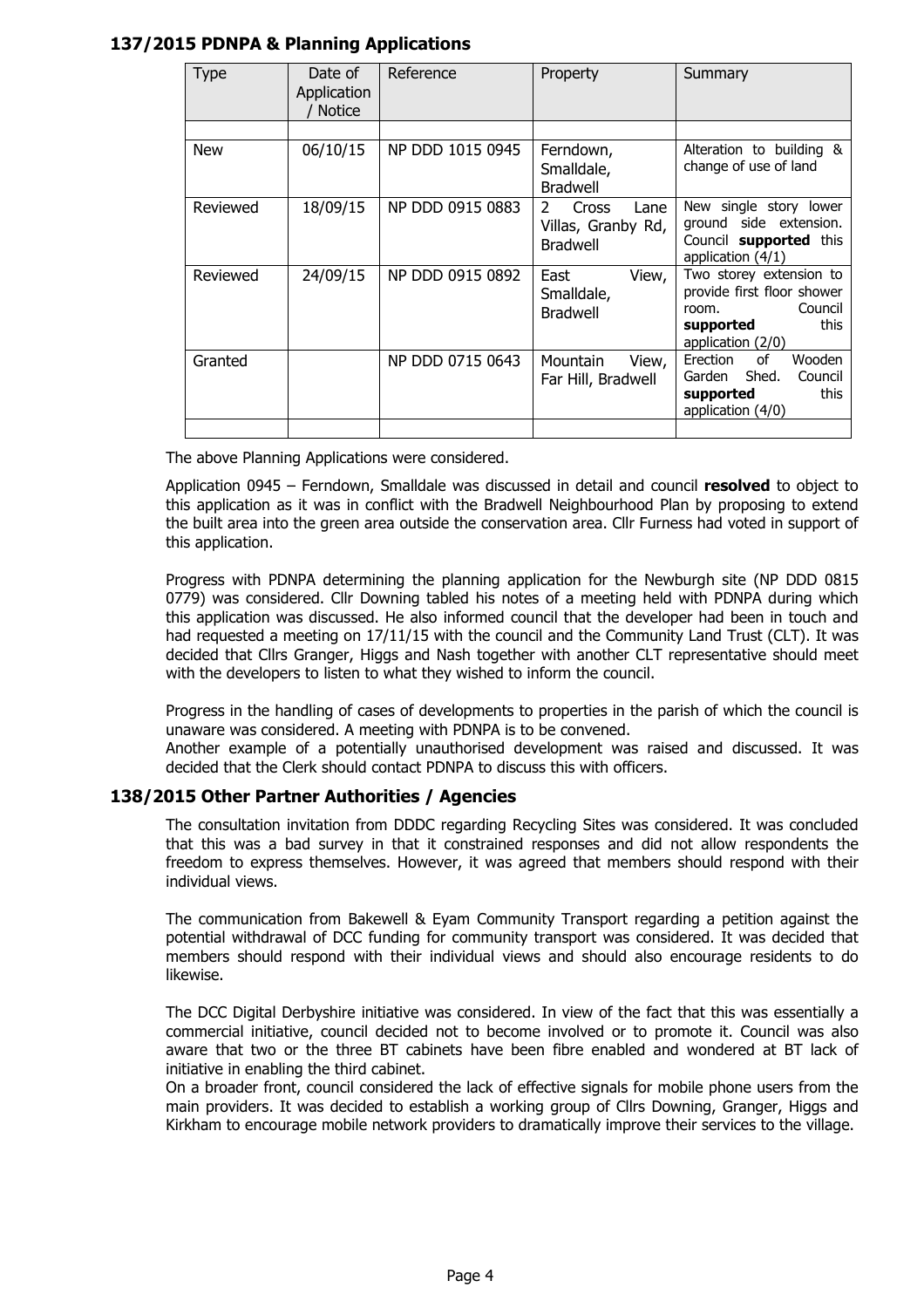## 137/2015 PDNPA & Planning Applications

| Type       | Date of<br>Application<br><b>Notice</b> | Reference        | Property                                                                       | Summary                                                                                                             |
|------------|-----------------------------------------|------------------|--------------------------------------------------------------------------------|---------------------------------------------------------------------------------------------------------------------|
| <b>New</b> | 06/10/15                                | NP DDD 1015 0945 | Ferndown,<br>Smalldale,                                                        | Alteration to building &<br>change of use of land                                                                   |
| Reviewed   | 18/09/15                                | NP DDD 0915 0883 | <b>Bradwell</b><br>Cross<br>2<br>Lane<br>Villas, Granby Rd,<br><b>Bradwell</b> | New single story lower<br>ground side extension.<br>Council supported this<br>application $(4/1)$                   |
| Reviewed   | 24/09/15                                | NP DDD 0915 0892 | View,<br>East<br>Smalldale,<br><b>Bradwell</b>                                 | Two storey extension to<br>provide first floor shower<br>Council<br>room.<br>this<br>supported<br>application (2/0) |
| Granted    |                                         | NP DDD 0715 0643 | Mountain<br>View,<br>Far Hill, Bradwell                                        | of<br>Wooden<br>Erection<br>Shed.<br>Garden<br>Council<br>this<br>supported<br>application (4/0)                    |

The above Planning Applications were considered.

Application 0945 – Ferndown, Smalldale was discussed in detail and council resolved to object to this application as it was in conflict with the Bradwell Neighbourhood Plan by proposing to extend the built area into the green area outside the conservation area. Cllr Furness had voted in support of this application.

Progress with PDNPA determining the planning application for the Newburgh site (NP DDD 0815 0779) was considered. Cllr Downing tabled his notes of a meeting held with PDNPA during which this application was discussed. He also informed council that the developer had been in touch and had requested a meeting on 17/11/15 with the council and the Community Land Trust (CLT). It was decided that Cllrs Granger, Higgs and Nash together with another CLT representative should meet with the developers to listen to what they wished to inform the council.

Progress in the handling of cases of developments to properties in the parish of which the council is unaware was considered. A meeting with PDNPA is to be convened.

Another example of a potentially unauthorised development was raised and discussed. It was decided that the Clerk should contact PDNPA to discuss this with officers.

#### 138/2015 Other Partner Authorities / Agencies

The consultation invitation from DDDC regarding Recycling Sites was considered. It was concluded that this was a bad survey in that it constrained responses and did not allow respondents the freedom to express themselves. However, it was agreed that members should respond with their individual views.

The communication from Bakewell & Eyam Community Transport regarding a petition against the potential withdrawal of DCC funding for community transport was considered. It was decided that members should respond with their individual views and should also encourage residents to do likewise.

The DCC Digital Derbyshire initiative was considered. In view of the fact that this was essentially a commercial initiative, council decided not to become involved or to promote it. Council was also aware that two or the three BT cabinets have been fibre enabled and wondered at BT lack of initiative in enabling the third cabinet.

On a broader front, council considered the lack of effective signals for mobile phone users from the main providers. It was decided to establish a working group of Cllrs Downing, Granger, Higgs and Kirkham to encourage mobile network providers to dramatically improve their services to the village.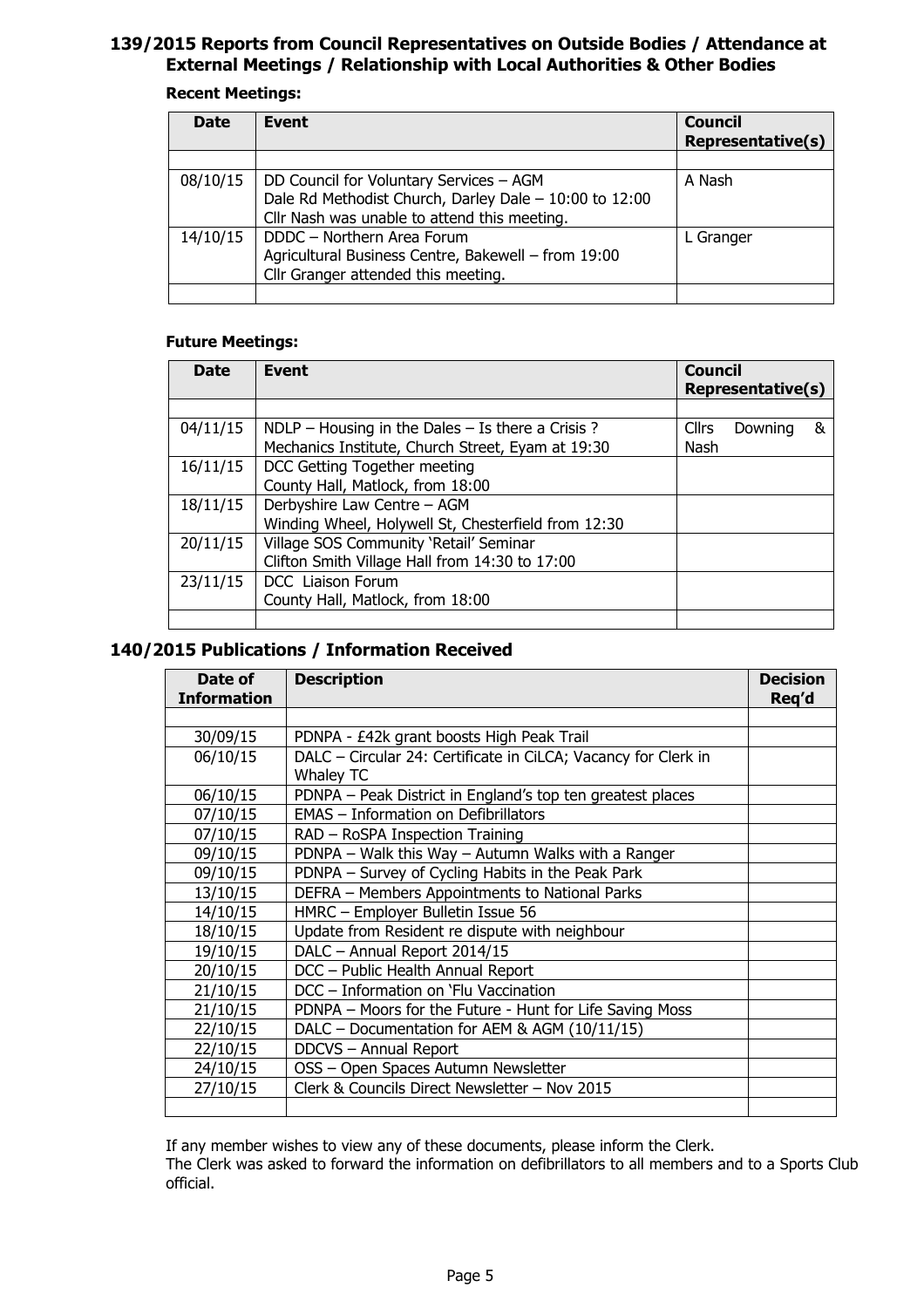## 139/2015 Reports from Council Representatives on Outside Bodies / Attendance at External Meetings / Relationship with Local Authorities & Other Bodies

#### Recent Meetings:

| <b>Date</b> | Event                                                                                                                                             | <b>Council</b><br><b>Representative(s)</b> |
|-------------|---------------------------------------------------------------------------------------------------------------------------------------------------|--------------------------------------------|
|             |                                                                                                                                                   |                                            |
| 08/10/15    | DD Council for Voluntary Services - AGM<br>Dale Rd Methodist Church, Darley Dale - 10:00 to 12:00<br>Cllr Nash was unable to attend this meeting. | A Nash                                     |
| 14/10/15    | DDDC - Northern Area Forum<br>Agricultural Business Centre, Bakewell - from 19:00<br>Cllr Granger attended this meeting.                          | L Granger                                  |
|             |                                                                                                                                                   |                                            |

#### Future Meetings:

| <b>Date</b> | Event                                                 | <b>Council</b><br><b>Representative(s)</b> |         |   |
|-------------|-------------------------------------------------------|--------------------------------------------|---------|---|
|             |                                                       |                                            |         |   |
| 04/11/15    | $NDLP - Housing$ in the Dales $-$ Is there a Crisis ? | <b>Cllrs</b>                               | Downing | & |
|             | Mechanics Institute, Church Street, Eyam at 19:30     | Nash                                       |         |   |
| 16/11/15    | DCC Getting Together meeting                          |                                            |         |   |
|             | County Hall, Matlock, from 18:00                      |                                            |         |   |
| 18/11/15    | Derbyshire Law Centre - AGM                           |                                            |         |   |
|             | Winding Wheel, Holywell St, Chesterfield from 12:30   |                                            |         |   |
| 20/11/15    | Village SOS Community 'Retail' Seminar                |                                            |         |   |
|             | Clifton Smith Village Hall from 14:30 to 17:00        |                                            |         |   |
| 23/11/15    | DCC Liaison Forum                                     |                                            |         |   |
|             | County Hall, Matlock, from 18:00                      |                                            |         |   |
|             |                                                       |                                            |         |   |

## 140/2015 Publications / Information Received

| Date of<br><b>Information</b> | <b>Description</b>                                                                 | <b>Decision</b><br>Req'd |
|-------------------------------|------------------------------------------------------------------------------------|--------------------------|
|                               |                                                                                    |                          |
| 30/09/15                      | PDNPA - £42k grant boosts High Peak Trail                                          |                          |
| 06/10/15                      | DALC - Circular 24: Certificate in CiLCA; Vacancy for Clerk in<br><b>Whaley TC</b> |                          |
| 06/10/15                      | PDNPA - Peak District in England's top ten greatest places                         |                          |
| 07/10/15                      | EMAS - Information on Defibrillators                                               |                          |
| 07/10/15                      | RAD - RoSPA Inspection Training                                                    |                          |
| 09/10/15                      | PDNPA - Walk this Way - Autumn Walks with a Ranger                                 |                          |
| 09/10/15                      | PDNPA - Survey of Cycling Habits in the Peak Park                                  |                          |
| 13/10/15                      | DEFRA - Members Appointments to National Parks                                     |                          |
| 14/10/15                      | HMRC - Employer Bulletin Issue 56                                                  |                          |
| 18/10/15                      | Update from Resident re dispute with neighbour                                     |                          |
| 19/10/15                      | DALC - Annual Report 2014/15                                                       |                          |
| 20/10/15                      | DCC - Public Health Annual Report                                                  |                          |
| 21/10/15                      | DCC - Information on `Flu Vaccination                                              |                          |
| 21/10/15                      | PDNPA - Moors for the Future - Hunt for Life Saving Moss                           |                          |
| 22/10/15                      | DALC - Documentation for AEM & AGM (10/11/15)                                      |                          |
| 22/10/15                      | DDCVS - Annual Report                                                              |                          |
| 24/10/15                      | OSS - Open Spaces Autumn Newsletter                                                |                          |
| 27/10/15                      | Clerk & Councils Direct Newsletter - Nov 2015                                      |                          |
|                               |                                                                                    |                          |

If any member wishes to view any of these documents, please inform the Clerk.

The Clerk was asked to forward the information on defibrillators to all members and to a Sports Club official.